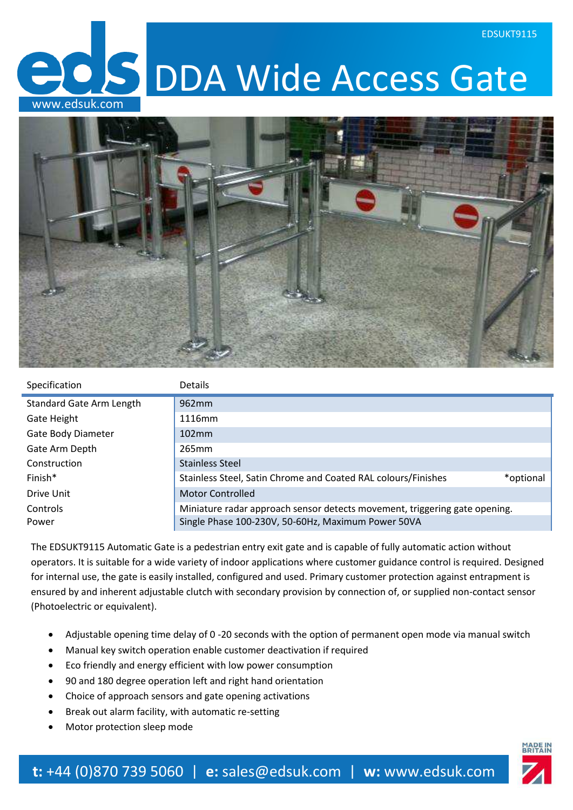**CS** DDA Wide Access Gate www.edsuk.com



| Specification                   | <b>Details</b>                                                             |  |
|---------------------------------|----------------------------------------------------------------------------|--|
| <b>Standard Gate Arm Length</b> | 962 <sub>mm</sub>                                                          |  |
| Gate Height                     | 1116mm                                                                     |  |
| Gate Body Diameter              | 102mm                                                                      |  |
| Gate Arm Depth                  | 265 <sub>mm</sub>                                                          |  |
| Construction                    | <b>Stainless Steel</b>                                                     |  |
| Finish*                         | Stainless Steel, Satin Chrome and Coated RAL colours/Finishes<br>*optional |  |
| Drive Unit                      | <b>Motor Controlled</b>                                                    |  |
| Controls                        | Miniature radar approach sensor detects movement, triggering gate opening. |  |
| Power                           | Single Phase 100-230V, 50-60Hz, Maximum Power 50VA                         |  |

The EDSUKT9115 Automatic Gate is a pedestrian entry exit gate and is capable of fully automatic action without operators. It is suitable for a wide variety of indoor applications where customer guidance control is required. Designed for internal use, the gate is easily installed, configured and used. Primary customer protection against entrapment is ensured by and inherent adjustable clutch with secondary provision by connection of, or supplied non-contact sensor (Photoelectric or equivalent).

- Adjustable opening time delay of 0 -20 seconds with the option of permanent open mode via manual switch
- Manual key switch operation enable customer deactivation if required
- Eco friendly and energy efficient with low power consumption
- 90 and 180 degree operation left and right hand orientation
- Choice of approach sensors and gate opening activations
- Break out alarm facility, with automatic re-setting
- Motor protection sleep mode

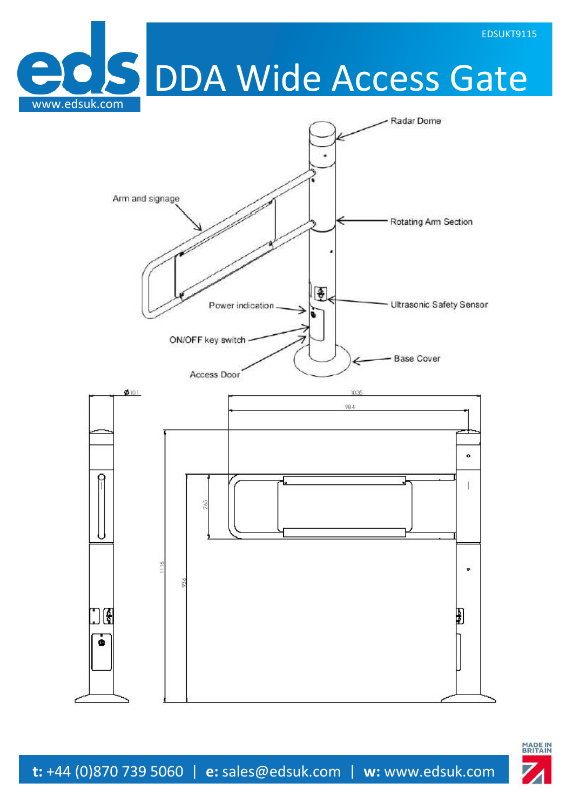**BIS DDA Wide Access Gate**